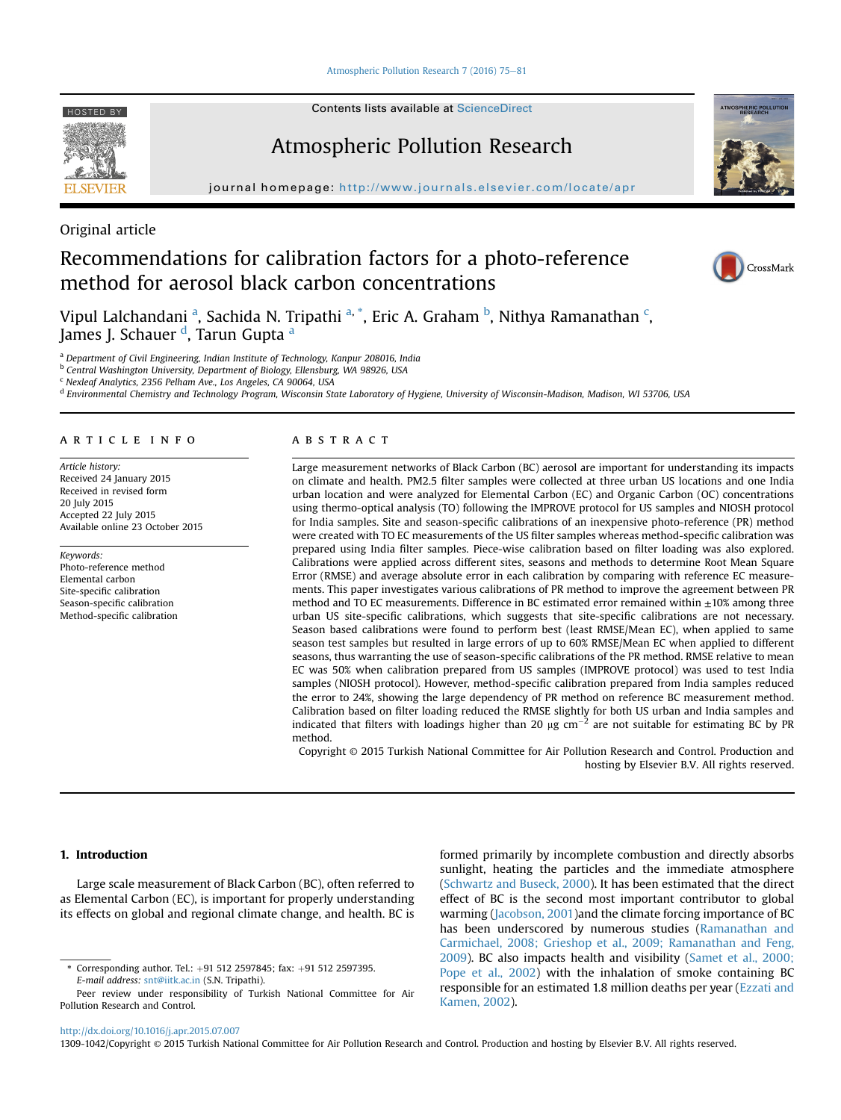[Atmospheric Pollution Research 7 \(2016\) 75](http://dx.doi.org/10.1016/j.apr.2015.07.007)-[81](http://dx.doi.org/10.1016/j.apr.2015.07.007)

HOSTED BY Contents lists available at [ScienceDirect](www.sciencedirect.com/science/journal/13091042)

# Atmospheric Pollution Research

journal homepage: [http://www.journals.elsevier.com/locate/apr](http://www.journals.elsevier.com/locate/fdj)

Original article

# Recommendations for calibration factors for a photo-reference method for aerosol black carbon concentrations



**SPHERIC POL** 

Vipul Lalchandani <sup>a</sup>, Sachida N. Tripathi <sup>a, \*</sup>, Eric A. Graham <sup>b</sup>, Nithya Ramanathan <sup>c</sup>, James J. Schauer <sup>d</sup>, Tarun Gupta <sup>a</sup>

<sup>a</sup> Department of Civil Engineering, Indian Institute of Technology, Kanpur 208016, India

<sup>b</sup> Central Washington University, Department of Biology, Ellensburg, WA 98926, USA

<sup>c</sup> Nexleaf Analytics, 2356 Pelham Ave., Los Angeles, CA 90064, USA

<sup>d</sup> Environmental Chemistry and Technology Program, Wisconsin State Laboratory of Hygiene, University of Wisconsin-Madison, Madison, WI 53706, USA

# article info

Article history: Received 24 January 2015 Received in revised form 20 July 2015 Accepted 22 July 2015 Available online 23 October 2015

Keywords: Photo-reference method Elemental carbon Site-specific calibration Season-specific calibration Method-specific calibration

## **ABSTRACT**

Large measurement networks of Black Carbon (BC) aerosol are important for understanding its impacts on climate and health. PM2.5 filter samples were collected at three urban US locations and one India urban location and were analyzed for Elemental Carbon (EC) and Organic Carbon (OC) concentrations using thermo-optical analysis (TO) following the IMPROVE protocol for US samples and NIOSH protocol for India samples. Site and season-specific calibrations of an inexpensive photo-reference (PR) method were created with TO EC measurements of the US filter samples whereas method-specific calibration was prepared using India filter samples. Piece-wise calibration based on filter loading was also explored. Calibrations were applied across different sites, seasons and methods to determine Root Mean Square Error (RMSE) and average absolute error in each calibration by comparing with reference EC measurements. This paper investigates various calibrations of PR method to improve the agreement between PR method and TO EC measurements. Difference in BC estimated error remained within ±10% among three urban US site-specific calibrations, which suggests that site-specific calibrations are not necessary. Season based calibrations were found to perform best (least RMSE/Mean EC), when applied to same season test samples but resulted in large errors of up to 60% RMSE/Mean EC when applied to different seasons, thus warranting the use of season-specific calibrations of the PR method. RMSE relative to mean EC was 50% when calibration prepared from US samples (IMPROVE protocol) was used to test India samples (NIOSH protocol). However, method-specific calibration prepared from India samples reduced the error to 24%, showing the large dependency of PR method on reference BC measurement method. Calibration based on filter loading reduced the RMSE slightly for both US urban and India samples and indicated that filters with loadings higher than 20  $\mu$ g cm<sup>-2</sup> are not suitable for estimating BC by PR method.

Copyright © 2015 Turkish National Committee for Air Pollution Research and Control. Production and hosting by Elsevier B.V. All rights reserved.

# 1. Introduction

Large scale measurement of Black Carbon (BC), often referred to as Elemental Carbon (EC), is important for properly understanding its effects on global and regional climate change, and health. BC is

Corresponding author. Tel.: +91 512 2597845; fax: +91 512 2597395. E-mail address: [snt@iitk.ac.in](mailto:snt@iitk.ac.in) (S.N. Tripathi).

Peer review under responsibility of Turkish National Committee for Air Pollution Research and Control.

formed primarily by incomplete combustion and directly absorbs sunlight, heating the particles and the immediate atmosphere ([Schwartz and Buseck, 2000\)](#page-6-0). It has been estimated that the direct effect of BC is the second most important contributor to global warming [\(Jacobson, 2001\)](#page-6-0)and the climate forcing importance of BC has been underscored by numerous studies [\(Ramanathan and](#page-6-0) [Carmichael, 2008; Grieshop et al., 2009; Ramanathan and Feng,](#page-6-0) [2009\)](#page-6-0). BC also impacts health and visibility [\(Samet et al., 2000;](#page-6-0) [Pope et al., 2002\)](#page-6-0) with the inhalation of smoke containing BC responsible for an estimated 1.8 million deaths per year [\(Ezzati and](#page-6-0) [Kamen, 2002\)](#page-6-0).

<http://dx.doi.org/10.1016/j.apr.2015.07.007>

1309-1042/Copyright © 2015 Turkish National Committee for Air Pollution Research and Control. Production and hosting by Elsevier B.V. All rights reserved.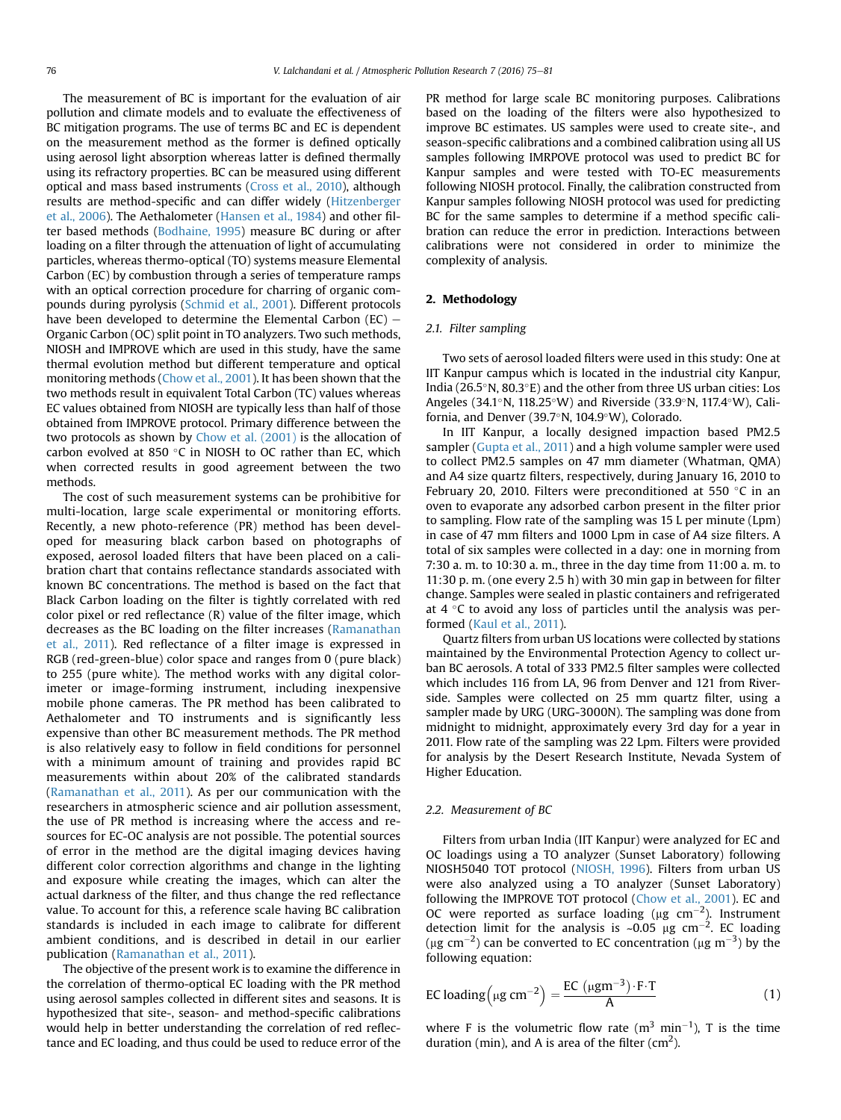The measurement of BC is important for the evaluation of air pollution and climate models and to evaluate the effectiveness of BC mitigation programs. The use of terms BC and EC is dependent on the measurement method as the former is defined optically using aerosol light absorption whereas latter is defined thermally using its refractory properties. BC can be measured using different optical and mass based instruments [\(Cross et al., 2010](#page-6-0)), although results are method-specific and can differ widely [\(Hitzenberger](#page-6-0) [et al., 2006](#page-6-0)). The Aethalometer [\(Hansen et al., 1984\)](#page-6-0) and other filter based methods ([Bodhaine, 1995\)](#page-6-0) measure BC during or after loading on a filter through the attenuation of light of accumulating particles, whereas thermo-optical (TO) systems measure Elemental Carbon (EC) by combustion through a series of temperature ramps with an optical correction procedure for charring of organic compounds during pyrolysis [\(Schmid et al., 2001\)](#page-6-0). Different protocols have been developed to determine the Elemental Carbon (EC)  $-$ Organic Carbon (OC) split point in TO analyzers. Two such methods, NIOSH and IMPROVE which are used in this study, have the same thermal evolution method but different temperature and optical monitoring methods [\(Chow et al., 2001\)](#page-6-0). It has been shown that the two methods result in equivalent Total Carbon (TC) values whereas EC values obtained from NIOSH are typically less than half of those obtained from IMPROVE protocol. Primary difference between the two protocols as shown by [Chow et al. \(2001\)](#page-6-0) is the allocation of carbon evolved at 850 $\degree$ C in NIOSH to OC rather than EC, which when corrected results in good agreement between the two methods.

The cost of such measurement systems can be prohibitive for multi-location, large scale experimental or monitoring efforts. Recently, a new photo-reference (PR) method has been developed for measuring black carbon based on photographs of exposed, aerosol loaded filters that have been placed on a calibration chart that contains reflectance standards associated with known BC concentrations. The method is based on the fact that Black Carbon loading on the filter is tightly correlated with red color pixel or red reflectance (R) value of the filter image, which decreases as the BC loading on the filter increases [\(Ramanathan](#page-6-0) [et al., 2011\)](#page-6-0). Red reflectance of a filter image is expressed in RGB (red-green-blue) color space and ranges from 0 (pure black) to 255 (pure white). The method works with any digital colorimeter or image-forming instrument, including inexpensive mobile phone cameras. The PR method has been calibrated to Aethalometer and TO instruments and is significantly less expensive than other BC measurement methods. The PR method is also relatively easy to follow in field conditions for personnel with a minimum amount of training and provides rapid BC measurements within about 20% of the calibrated standards ([Ramanathan et al., 2011\)](#page-6-0). As per our communication with the researchers in atmospheric science and air pollution assessment, the use of PR method is increasing where the access and resources for EC-OC analysis are not possible. The potential sources of error in the method are the digital imaging devices having different color correction algorithms and change in the lighting and exposure while creating the images, which can alter the actual darkness of the filter, and thus change the red reflectance value. To account for this, a reference scale having BC calibration standards is included in each image to calibrate for different ambient conditions, and is described in detail in our earlier publication [\(Ramanathan et al., 2011](#page-6-0)).

The objective of the present work is to examine the difference in the correlation of thermo-optical EC loading with the PR method using aerosol samples collected in different sites and seasons. It is hypothesized that site-, season- and method-specific calibrations would help in better understanding the correlation of red reflectance and EC loading, and thus could be used to reduce error of the PR method for large scale BC monitoring purposes. Calibrations based on the loading of the filters were also hypothesized to improve BC estimates. US samples were used to create site-, and season-specific calibrations and a combined calibration using all US samples following IMRPOVE protocol was used to predict BC for Kanpur samples and were tested with TO-EC measurements following NIOSH protocol. Finally, the calibration constructed from Kanpur samples following NIOSH protocol was used for predicting BC for the same samples to determine if a method specific calibration can reduce the error in prediction. Interactions between calibrations were not considered in order to minimize the complexity of analysis.

## 2. Methodology

## 2.1. Filter sampling

Two sets of aerosol loaded filters were used in this study: One at IIT Kanpur campus which is located in the industrial city Kanpur, India ( $26.5^\circ$ N,  $80.3^\circ$ E) and the other from three US urban cities: Los Angeles (34.1°N, 118.25°W) and Riverside (33.9°N, 117.4°W), California, and Denver (39.7 $\textdegree$ N, 104.9 $\textdegree$ W), Colorado.

In IIT Kanpur, a locally designed impaction based PM2.5 sampler ([Gupta et al., 2011](#page-6-0)) and a high volume sampler were used to collect PM2.5 samples on 47 mm diameter (Whatman, QMA) and A4 size quartz filters, respectively, during January 16, 2010 to February 20, 2010. Filters were preconditioned at 550  $\degree$ C in an oven to evaporate any adsorbed carbon present in the filter prior to sampling. Flow rate of the sampling was 15 L per minute (Lpm) in case of 47 mm filters and 1000 Lpm in case of A4 size filters. A total of six samples were collected in a day: one in morning from 7:30 a. m. to 10:30 a. m., three in the day time from 11:00 a. m. to 11:30 p. m. (one every 2.5 h) with 30 min gap in between for filter change. Samples were sealed in plastic containers and refrigerated at  $4 \degree C$  to avoid any loss of particles until the analysis was performed [\(Kaul et al., 2011](#page-6-0)).

Quartz filters from urban US locations were collected by stations maintained by the Environmental Protection Agency to collect urban BC aerosols. A total of 333 PM2.5 filter samples were collected which includes 116 from LA, 96 from Denver and 121 from Riverside. Samples were collected on 25 mm quartz filter, using a sampler made by URG (URG-3000N). The sampling was done from midnight to midnight, approximately every 3rd day for a year in 2011. Flow rate of the sampling was 22 Lpm. Filters were provided for analysis by the Desert Research Institute, Nevada System of Higher Education.

## 2.2. Measurement of BC

Filters from urban India (IIT Kanpur) were analyzed for EC and OC loadings using a TO analyzer (Sunset Laboratory) following NIOSH5040 TOT protocol [\(NIOSH, 1996](#page-6-0)). Filters from urban US were also analyzed using a TO analyzer (Sunset Laboratory) following the IMPROVE TOT protocol ([Chow et al., 2001](#page-6-0)). EC and OC were reported as surface loading ( $\mu$ g cm<sup>-2</sup>). Instrument detection limit for the analysis is  $\sim$ 0.05 µg cm<sup>-2</sup>. EC loading (µg cm<sup>-2</sup>) can be converted to EC concentration (µg m<sup>-3</sup>) by the following equation:

$$
\text{EC loading}\left(\mu\text{g cm}^{-2}\right) = \frac{\text{EC}\left(\mu\text{g m}^{-3}\right) \cdot \text{F} \cdot \text{T}}{A} \tag{1}
$$

where F is the volumetric flow rate  $(m^3 \text{ min}^{-1})$ , T is the time duration (min), and A is area of the filter (cm<sup>2</sup>).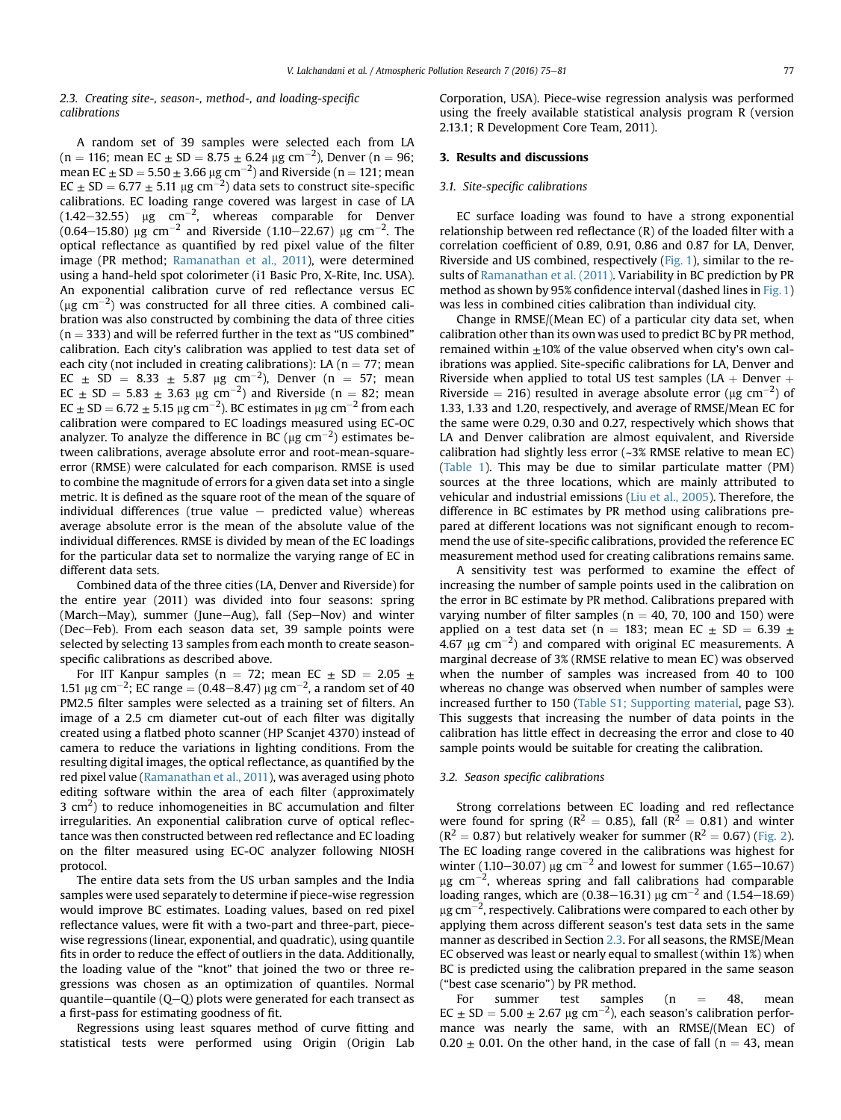## 2.3. Creating site-, season-, method-, and loading-specific calibrations

A random set of 39 samples were selected each from LA  $(n = 116;$  mean EC  $\pm$  SD = 8.75  $\pm$  6.24  $\mu$ g cm<sup>-2</sup>), Denver (n = 96; mean EC  $\pm$  SD = 5.50  $\pm$  3.66  $\mu$ g cm<sup>-2</sup>) and Riverside (n = 121; mean  $EC \pm SD = 6.77 \pm 5.11 \,\mu g \,\text{cm}^{-2}$ ) data sets to construct site-specific calibrations. EC loading range covered was largest in case of LA (1.42–32.55)  $\mu$ g cm<sup>-2</sup>, whereas comparable for Denver (0.64–15.80)  $\mu$ g cm<sup>-2</sup> and Riverside (1.10–22.67)  $\mu$ g cm<sup>-2</sup>. The optical reflectance as quantified by red pixel value of the filter image (PR method; [Ramanathan et al., 2011\)](#page-6-0), were determined using a hand-held spot colorimeter (i1 Basic Pro, X-Rite, Inc. USA). An exponential calibration curve of red reflectance versus EC  $(\mu g \text{ cm}^{-2})$  was constructed for all three cities. A combined calibration was also constructed by combining the data of three cities  $(n = 333)$  and will be referred further in the text as "US combined" calibration. Each city's calibration was applied to test data set of each city (not included in creating calibrations): LA ( $n = 77$ ; mean  $EC \pm SD = 8.33 \pm 5.87 \text{ µg cm}^{-2}$ ), Denver (n = 57; mean  $EC \pm SD = 5.83 \pm 3.63 \text{ µg cm}^{-2}$ ) and Riverside (n = 82; mean  $EC \pm SD = 6.72 \pm 5.15 \,\mu g \,\text{cm}^{-2}$ ). BC estimates in  $\mu g \,\text{cm}^{-2}$  from each calibration were compared to EC loadings measured using EC-OC analyzer. To analyze the difference in BC ( $\mu$ g cm $^{-2}$ ) estimates between calibrations, average absolute error and root-mean-squareerror (RMSE) were calculated for each comparison. RMSE is used to combine the magnitude of errors for a given data set into a single metric. It is defined as the square root of the mean of the square of individual differences (true value  $-$  predicted value) whereas average absolute error is the mean of the absolute value of the individual differences. RMSE is divided by mean of the EC loadings for the particular data set to normalize the varying range of EC in different data sets.

Combined data of the three cities (LA, Denver and Riverside) for the entire year (2011) was divided into four seasons: spring  $(March-May)$ , summer (June-Aug), fall (Sep-Nov) and winter (Dec-Feb). From each season data set, 39 sample points were selected by selecting 13 samples from each month to create seasonspecific calibrations as described above.

For IIT Kanpur samples (n = 72; mean EC  $\pm$  SD = 2.05  $\pm$ 1.51  $\mu$ g cm<sup>-2</sup>; EC range = (0.48–8.47)  $\mu$ g cm<sup>-2</sup>, a random set of 40 PM2.5 filter samples were selected as a training set of filters. An image of a 2.5 cm diameter cut-out of each filter was digitally created using a flatbed photo scanner (HP Scanjet 4370) instead of camera to reduce the variations in lighting conditions. From the resulting digital images, the optical reflectance, as quantified by the red pixel value ([Ramanathan et al., 2011](#page-6-0)), was averaged using photo editing software within the area of each filter (approximately 3  $\text{cm}^2$ ) to reduce inhomogeneities in BC accumulation and filter irregularities. An exponential calibration curve of optical reflectance was then constructed between red reflectance and EC loading on the filter measured using EC-OC analyzer following NIOSH protocol.

The entire data sets from the US urban samples and the India samples were used separately to determine if piece-wise regression would improve BC estimates. Loading values, based on red pixel reflectance values, were fit with a two-part and three-part, piecewise regressions (linear, exponential, and quadratic), using quantile fits in order to reduce the effect of outliers in the data. Additionally, the loading value of the "knot" that joined the two or three regressions was chosen as an optimization of quantiles. Normal quantile-quantile ( $Q-Q$ ) plots were generated for each transect as a first-pass for estimating goodness of fit.

Regressions using least squares method of curve fitting and statistical tests were performed using Origin (Origin Lab Corporation, USA). Piece-wise regression analysis was performed using the freely available statistical analysis program R (version 2.13.1; R Development Core Team, 2011).

# 3. Results and discussions

## 3.1. Site-specific calibrations

EC surface loading was found to have a strong exponential relationship between red reflectance (R) of the loaded filter with a correlation coefficient of 0.89, 0.91, 0.86 and 0.87 for LA, Denver, Riverside and US combined, respectively ([Fig. 1\)](#page-3-0), similar to the results of [Ramanathan et al. \(2011\)](#page-6-0). Variability in BC prediction by PR method as shown by 95% confidence interval (dashed lines in [Fig. 1\)](#page-3-0) was less in combined cities calibration than individual city.

Change in RMSE/(Mean EC) of a particular city data set, when calibration other than its own was used to predict BC by PR method, remained within  $\pm 10\%$  of the value observed when city's own calibrations was applied. Site-specific calibrations for LA, Denver and Riverside when applied to total US test samples (LA + Denver  $+$ Riverside = 216) resulted in average absolute error ( $\mu$ g cm<sup>-2</sup>) of 1.33, 1.33 and 1.20, respectively, and average of RMSE/Mean EC for the same were 0.29, 0.30 and 0.27, respectively which shows that LA and Denver calibration are almost equivalent, and Riverside calibration had slightly less error (~3% RMSE relative to mean EC) ([Table 1\)](#page-3-0). This may be due to similar particulate matter (PM) sources at the three locations, which are mainly attributed to vehicular and industrial emissions ([Liu et al., 2005](#page-6-0)). Therefore, the difference in BC estimates by PR method using calibrations prepared at different locations was not significant enough to recommend the use of site-specific calibrations, provided the reference EC measurement method used for creating calibrations remains same.

A sensitivity test was performed to examine the effect of increasing the number of sample points used in the calibration on the error in BC estimate by PR method. Calibrations prepared with varying number of filter samples ( $n = 40$ , 70, 100 and 150) were applied on a test data set (n = 183; mean EC  $\pm$  SD = 6.39  $\pm$ 4.67  $\mu$ g cm<sup>-2</sup>) and compared with original EC measurements. A marginal decrease of 3% (RMSE relative to mean EC) was observed when the number of samples was increased from 40 to 100 whereas no change was observed when number of samples were increased further to 150 (Table S1; Supporting material, page S3). This suggests that increasing the number of data points in the calibration has little effect in decreasing the error and close to 40 sample points would be suitable for creating the calibration.

## 3.2. Season specific calibrations

Strong correlations between EC loading and red reflectance were found for spring ( $R^2 = 0.85$ ), fall ( $R^2 = 0.81$ ) and winter  $(R^2 = 0.87)$  but relatively weaker for summer  $(R^2 = 0.67)$  [\(Fig. 2\)](#page-4-0). The EC loading range covered in the calibrations was highest for winter  $(1.10-30.07)$  µg cm<sup>-2</sup> and lowest for summer (1.65–10.67)  $\mu$ g cm $^{-2}$ , whereas spring and fall calibrations had comparable loading ranges, which are (0.38–16.31) µg cm<sup>-2</sup> and (1.54–18.69)  $\mu$ g cm $^{-2}$ , respectively. Calibrations were compared to each other by applying them across different season's test data sets in the same manner as described in Section 2.3. For all seasons, the RMSE/Mean EC observed was least or nearly equal to smallest (within 1%) when BC is predicted using the calibration prepared in the same season ("best case scenario") by PR method.

For summer test samples (n  $=$  48, mean  $EC \pm SD = 5.00 \pm 2.67 \text{ µg cm}^{-2}$ ), each season's calibration performance was nearly the same, with an RMSE/(Mean EC) of  $0.20 \pm 0.01$ . On the other hand, in the case of fall (n = 43, mean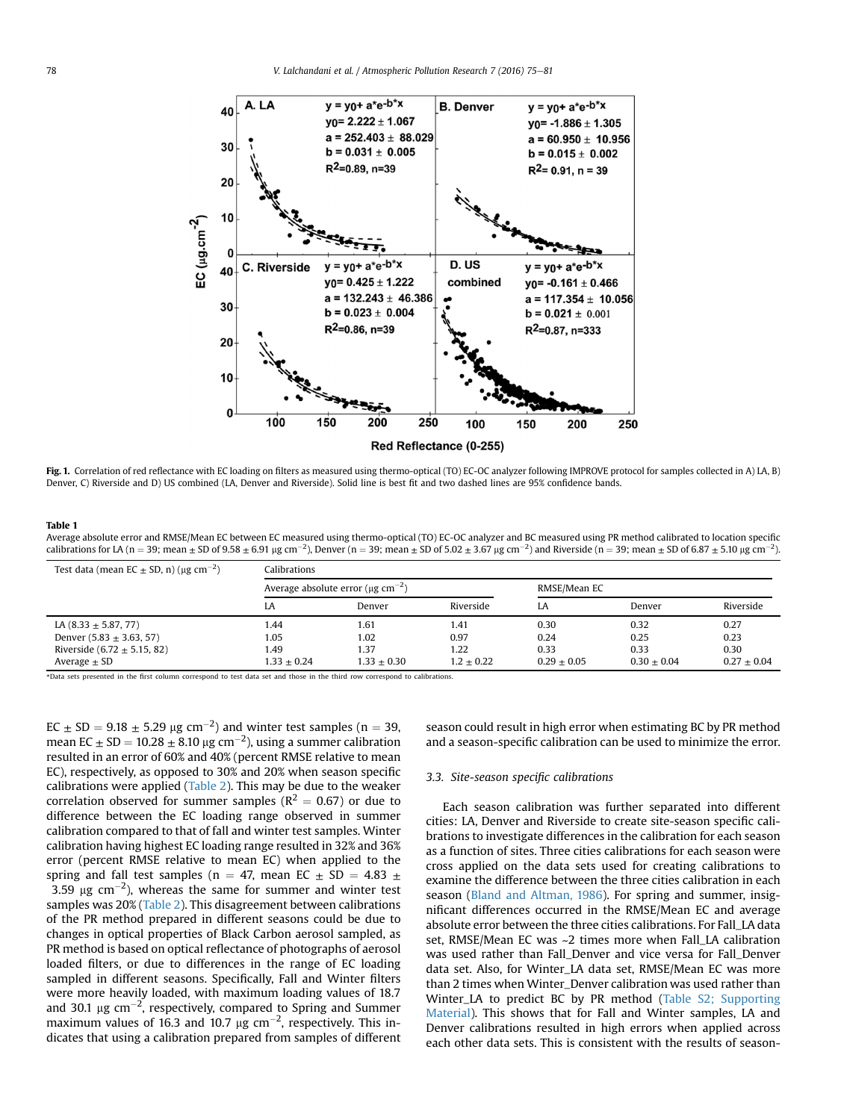<span id="page-3-0"></span>

Fig. 1. Correlation of red reflectance with EC loading on filters as measured using thermo-optical (TO) EC-OC analyzer following IMPROVE protocol for samples collected in A) LA, B) Denver, C) Riverside and D) US combined (LA, Denver and Riverside). Solid line is best fit and two dashed lines are 95% confidence bands.

#### Table 1

Average absolute error and RMSE/Mean EC between EC measured using thermo-optical (TO) EC-OC analyzer and BC measured using PR method calibrated to location specific calibrations for LA (n = 39; mean ± SD of 9.58 ± 6.91 µg cm<sup>-2</sup>), Denver (n = 39; mean ± SD of 5.02 ± 3.67 µg cm<sup>-2</sup>) and Riverside (n = 39; mean ± SD of 6.87 ± 5.10 µg cm<sup>-2</sup>).

| Test data (mean EC $\pm$ SD, n) ( $\mu$ g cm <sup>-2</sup> ) | Calibrations                                        |               |              |               |               |               |  |  |
|--------------------------------------------------------------|-----------------------------------------------------|---------------|--------------|---------------|---------------|---------------|--|--|
|                                                              | Average absolute error ( $\mu$ g cm <sup>-2</sup> ) |               |              | RMSE/Mean EC  |               |               |  |  |
|                                                              | LA                                                  | Denver        | Riverside    | I.A           | Denver        | Riverside     |  |  |
| LA $(8.33 \pm 5.87, 77)$                                     | 1.44                                                | 1.61          | 1.41         | 0.30          | 0.32          | 0.27          |  |  |
| Denver $(5.83 \pm 3.63, 57)$                                 | 1.05                                                | 1.02          | 0.97         | 0.24          | 0.25          | 0.23          |  |  |
| Riverside $(6.72 \pm 5.15, 82)$                              | l.49                                                | 1.37          | 1.22         | 0.33          | 0.33          | 0.30          |  |  |
| Average $\pm$ SD                                             | $1.33 + 0.24$                                       | $1.33 + 0.30$ | $1.2 + 0.22$ | $0.29 + 0.05$ | $0.30 + 0.04$ | $0.27 + 0.04$ |  |  |

\*Data sets presented in the first column correspond to test data set and those in the third row correspond to calibrations.

 $EC \pm SD = 9.18 \pm 5.29 \,\mu g \,\text{cm}^{-2}$ ) and winter test samples (n = 39, mean EC  $\pm$  SD = 10.28  $\pm$  8.10  $\mu$ g cm<sup>-2</sup>), using a summer calibration resulted in an error of 60% and 40% (percent RMSE relative to mean EC), respectively, as opposed to 30% and 20% when season specific calibrations were applied ([Table 2](#page-4-0)). This may be due to the weaker correlation observed for summer samples ( $R^2 = 0.67$ ) or due to difference between the EC loading range observed in summer calibration compared to that of fall and winter test samples. Winter calibration having highest EC loading range resulted in 32% and 36% error (percent RMSE relative to mean EC) when applied to the spring and fall test samples (n = 47, mean EC  $\pm$  SD = 4.83  $\pm$ 3.59  $\mu$ g cm<sup>-2</sup>), whereas the same for summer and winter test samples was 20% [\(Table 2\)](#page-4-0). This disagreement between calibrations of the PR method prepared in different seasons could be due to changes in optical properties of Black Carbon aerosol sampled, as PR method is based on optical reflectance of photographs of aerosol loaded filters, or due to differences in the range of EC loading sampled in different seasons. Specifically, Fall and Winter filters were more heavily loaded, with maximum loading values of 18.7 and 30.1  $\mu$ g cm<sup>-2</sup>, respectively, compared to Spring and Summer maximum values of 16.3 and 10.7  $\mu$ g cm<sup>-2</sup>, respectively. This indicates that using a calibration prepared from samples of different season could result in high error when estimating BC by PR method and a season-specific calibration can be used to minimize the error.

## 3.3. Site-season specific calibrations

Each season calibration was further separated into different cities: LA, Denver and Riverside to create site-season specific calibrations to investigate differences in the calibration for each season as a function of sites. Three cities calibrations for each season were cross applied on the data sets used for creating calibrations to examine the difference between the three cities calibration in each season ([Bland and Altman, 1986\)](#page-6-0). For spring and summer, insignificant differences occurred in the RMSE/Mean EC and average absolute error between the three cities calibrations. For Fall\_LA data set, RMSE/Mean EC was ~2 times more when Fall\_LA calibration was used rather than Fall\_Denver and vice versa for Fall\_Denver data set. Also, for Winter\_LA data set, RMSE/Mean EC was more than 2 times when Winter\_Denver calibration was used rather than Winter\_LA to predict BC by PR method (Table S2; Supporting Material). This shows that for Fall and Winter samples, LA and Denver calibrations resulted in high errors when applied across each other data sets. This is consistent with the results of season-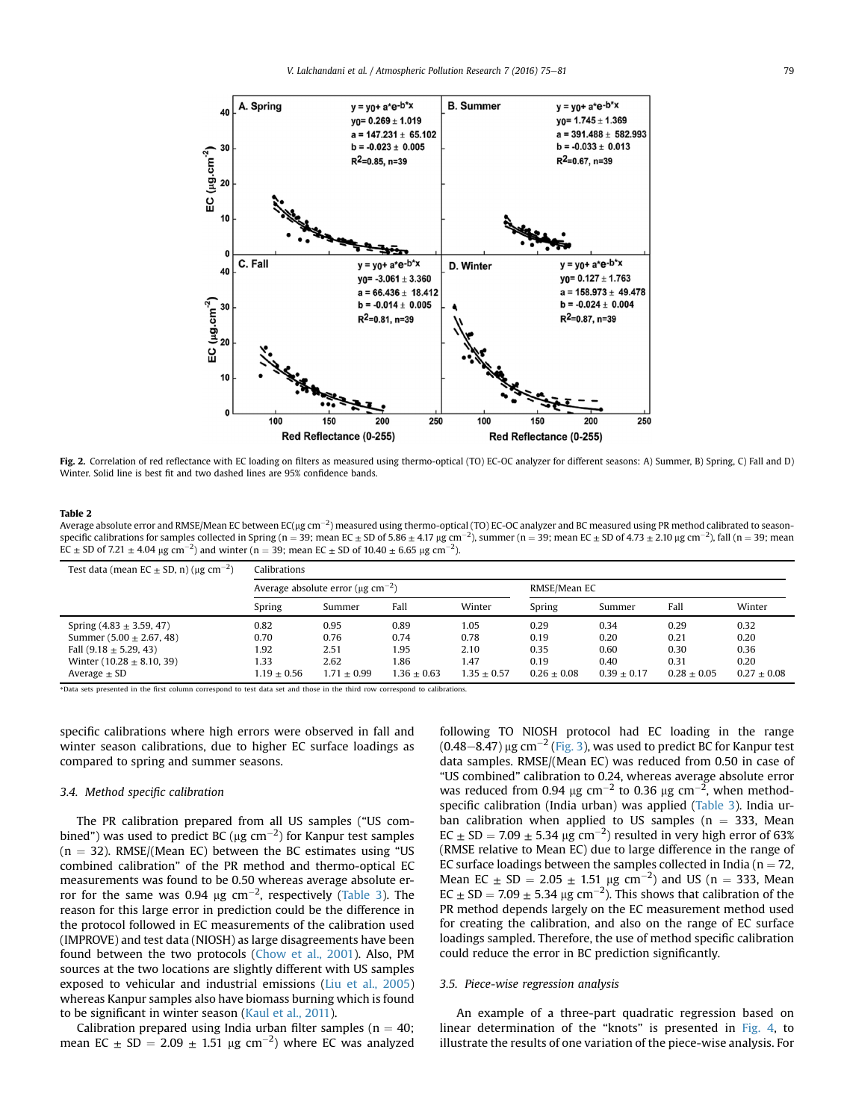<span id="page-4-0"></span>

Fig. 2. Correlation of red reflectance with EC loading on filters as measured using thermo-optical (TO) EC-OC analyzer for different seasons: A) Summer, B) Spring, C) Fall and D) Winter. Solid line is best fit and two dashed lines are 95% confidence bands.

## Table 2

Average absolute error and RMSE/Mean EC between EC(µg cm $^{-2}$ ) measured using thermo-optical (TO) EC-OC analyzer and BC measured using PR method calibrated to seasonspecific calibrations for samples collected in Spring (n = 39; mean EC  $\pm$  SD of 5.86  $\pm$  4.17 µg cm $^{-2}$ ), summer (n = 39; mean EC  $\pm$  SD of 4.73  $\pm$  2.10 µg cm $^{-2}$ ), fall (n = 39; mean EC  $\pm$  SD of 7.21  $\pm$  4.04  $\mu$ g cm<sup>-2</sup>) and winter (n = 39; mean EC  $\pm$  SD of 10.40  $\pm$  6.65  $\mu$ g cm<sup>-2</sup>).

| Test data (mean EC $\pm$ SD, n) ( $\mu$ g cm <sup>-2</sup> ) | Calibrations                                        |               |               |                 |               |                 |               |                 |
|--------------------------------------------------------------|-----------------------------------------------------|---------------|---------------|-----------------|---------------|-----------------|---------------|-----------------|
|                                                              | Average absolute error ( $\mu$ g cm <sup>-2</sup> ) |               |               | RMSE/Mean EC    |               |                 |               |                 |
|                                                              | Spring                                              | Summer        | Fall          | Winter          | Spring        | Summer          | Fall          | Winter          |
| Spring $(4.83 \pm 3.59, 47)$                                 | 0.82                                                | 0.95          | 0.89          | 1.05            | 0.29          | 0.34            | 0.29          | 0.32            |
| Summer $(5.00 \pm 2.67, 48)$                                 | 0.70                                                | 0.76          | 0.74          | 0.78            | 0.19          | 0.20            | 0.21          | 0.20            |
| Fall $(9.18 \pm 5.29, 43)$                                   | 1.92                                                | 2.51          | 1.95          | 2.10            | 0.35          | 0.60            | 0.30          | 0.36            |
| Winter $(10.28 \pm 8.10, 39)$                                | 1.33                                                | 2.62          | 1.86          | 1.47            | 0.19          | 0.40            | 0.31          | 0.20            |
| Average $\pm$ SD                                             | $1.19 + 0.56$                                       | $1.71 + 0.99$ | $1.36 + 0.63$ | $1.35 \pm 0.57$ | $0.26 + 0.08$ | $0.39 \pm 0.17$ | $0.28 + 0.05$ | $0.27 \pm 0.08$ |

\*Data sets presented in the first column correspond to test data set and those in the third row correspond to calibrations.

specific calibrations where high errors were observed in fall and winter season calibrations, due to higher EC surface loadings as compared to spring and summer seasons.

# 3.4. Method specific calibration

The PR calibration prepared from all US samples ("US combined") was used to predict BC ( $\mu$ g cm $^{-2}$ ) for Kanpur test samples  $(n = 32)$ . RMSE/(Mean EC) between the BC estimates using "US combined calibration" of the PR method and thermo-optical EC measurements was found to be 0.50 whereas average absolute error for the same was 0.94  $\mu$ g cm $^{-2}$ , respectively [\(Table 3\)](#page-5-0). The reason for this large error in prediction could be the difference in the protocol followed in EC measurements of the calibration used (IMPROVE) and test data (NIOSH) as large disagreements have been found between the two protocols [\(Chow et al., 2001\)](#page-6-0). Also, PM sources at the two locations are slightly different with US samples exposed to vehicular and industrial emissions [\(Liu et al., 2005\)](#page-6-0) whereas Kanpur samples also have biomass burning which is found to be significant in winter season ([Kaul et al., 2011\)](#page-6-0).

Calibration prepared using India urban filter samples ( $n = 40$ ; mean EC  $\pm$  SD = 2.09  $\pm$  1.51  $\mu$ g cm<sup>-2</sup>) where EC was analyzed

following TO NIOSH protocol had EC loading in the range  $(0.48-8.47)$  µg cm<sup>-2</sup> ([Fig. 3](#page-5-0)), was used to predict BC for Kanpur test data samples. RMSE/(Mean EC) was reduced from 0.50 in case of "US combined" calibration to 0.24, whereas average absolute error was reduced from 0.94  $\mu$ g cm<sup>-2</sup> to 0.36  $\mu$ g cm<sup>-2</sup>, when methodspecific calibration (India urban) was applied ([Table 3\)](#page-5-0). India urban calibration when applied to US samples ( $n = 333$ , Mean  $EC \pm SD = 7.09 \pm 5.34 \,\mu g \,\text{cm}^{-2}$ ) resulted in very high error of 63% (RMSE relative to Mean EC) due to large difference in the range of EC surface loadings between the samples collected in India ( $n = 72$ , Mean EC  $\pm$  SD = 2.05  $\pm$  1.51 µg cm<sup>-2</sup>) and US (n = 333, Mean  $EC \pm SD = 7.09 \pm 5.34 \,\mu g \,\text{cm}^{-2}$ ). This shows that calibration of the PR method depends largely on the EC measurement method used for creating the calibration, and also on the range of EC surface loadings sampled. Therefore, the use of method specific calibration could reduce the error in BC prediction significantly.

## 3.5. Piece-wise regression analysis

An example of a three-part quadratic regression based on linear determination of the "knots" is presented in [Fig. 4](#page-5-0), to illustrate the results of one variation of the piece-wise analysis. For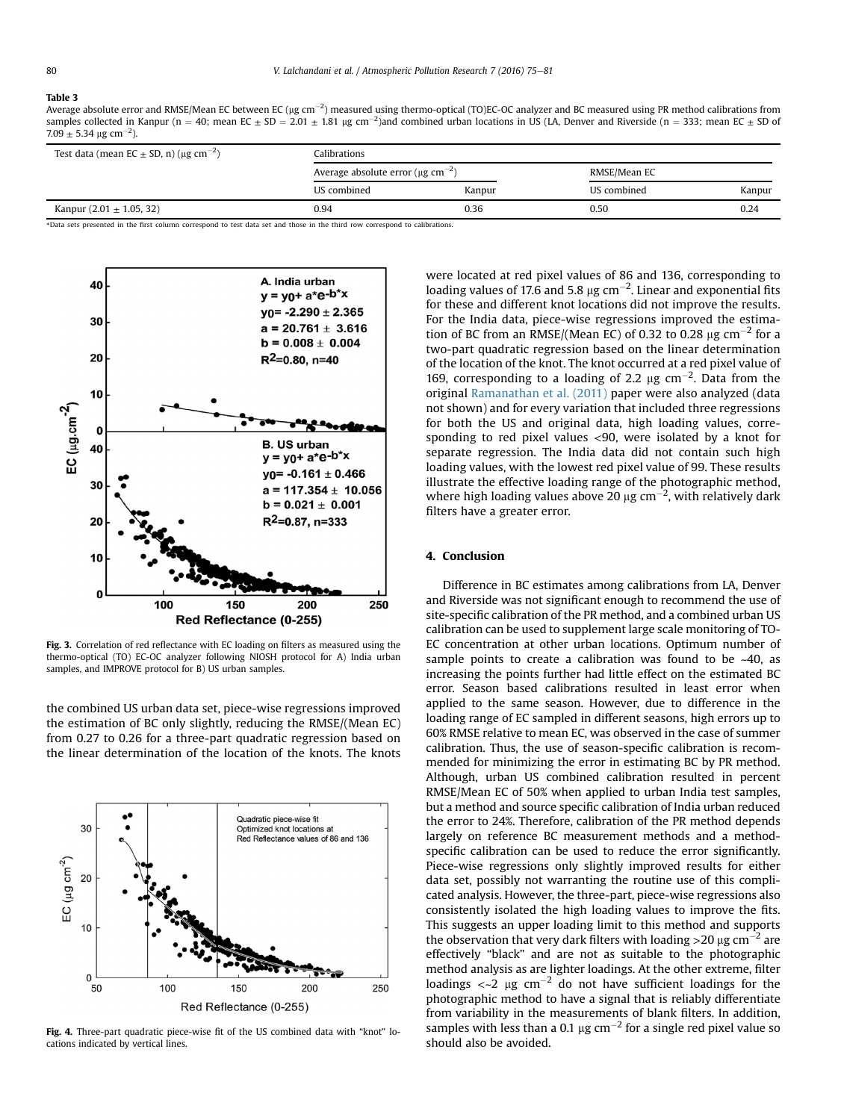#### <span id="page-5-0"></span>Table 3

Average absolute error and RMSE/Mean EC between EC (µg cm $^{-2}$ ) measured using thermo-optical (TO)EC-OC analyzer and BC measured using PR method calibrations from samples collected in Kanpur (n = 40; mean EC  $\pm$  SD = 2.01  $\pm$  1.81 µg cm<sup>-2</sup>)and combined urban locations in US (LA, Denver and Riverside (n = 333; mean EC  $\pm$  SD of  $7.09 \pm 5.34 \,\mathrm{\mu g\ cm}^{-2}$ ).

| Test data (mean EC $\pm$ SD, n) ( $\mu$ g cm <sup>-2</sup> ) | Calibrations                                        |        |              |        |  |  |
|--------------------------------------------------------------|-----------------------------------------------------|--------|--------------|--------|--|--|
|                                                              | Average absolute error ( $\mu$ g cm <sup>-2</sup> ) |        | RMSE/Mean EC |        |  |  |
|                                                              | US combined                                         | Kanpur | US combined  | Kanpur |  |  |
| Kanpur $(2.01 \pm 1.05, 32)$                                 | 0.94                                                | 0.36   | 0.50         | 0.24   |  |  |

\*Data sets presented in the first column correspond to test data set and those in the third row correspond to calibrations.



Fig. 3. Correlation of red reflectance with EC loading on filters as measured using the thermo-optical (TO) EC-OC analyzer following NIOSH protocol for A) India urban samples, and IMPROVE protocol for B) US urban samples.

the combined US urban data set, piece-wise regressions improved the estimation of BC only slightly, reducing the RMSE/(Mean EC) from 0.27 to 0.26 for a three-part quadratic regression based on the linear determination of the location of the knots. The knots



Fig. 4. Three-part quadratic piece-wise fit of the US combined data with "knot" locations indicated by vertical lines.

were located at red pixel values of 86 and 136, corresponding to loading values of 17.6 and 5.8  $\mu$ g cm $^{-2}$ . Linear and exponential fits for these and different knot locations did not improve the results. For the India data, piece-wise regressions improved the estimation of BC from an RMSE/(Mean EC) of 0.32 to 0.28  $\mu$ g cm<sup>-2</sup> for a two-part quadratic regression based on the linear determination of the location of the knot. The knot occurred at a red pixel value of 169, corresponding to a loading of 2.2  $\mu$ g cm<sup>-2</sup>. Data from the original [Ramanathan et al. \(2011\)](#page-6-0) paper were also analyzed (data not shown) and for every variation that included three regressions for both the US and original data, high loading values, corresponding to red pixel values <90, were isolated by a knot for separate regression. The India data did not contain such high loading values, with the lowest red pixel value of 99. These results illustrate the effective loading range of the photographic method, where high loading values above 20  $\mu$ g cm<sup>-2</sup>, with relatively dark filters have a greater error.

## 4. Conclusion

Difference in BC estimates among calibrations from LA, Denver and Riverside was not significant enough to recommend the use of site-specific calibration of the PR method, and a combined urban US calibration can be used to supplement large scale monitoring of TO-EC concentration at other urban locations. Optimum number of sample points to create a calibration was found to be  $~40$ , as increasing the points further had little effect on the estimated BC error. Season based calibrations resulted in least error when applied to the same season. However, due to difference in the loading range of EC sampled in different seasons, high errors up to 60% RMSE relative to mean EC, was observed in the case of summer calibration. Thus, the use of season-specific calibration is recommended for minimizing the error in estimating BC by PR method. Although, urban US combined calibration resulted in percent RMSE/Mean EC of 50% when applied to urban India test samples, but a method and source specific calibration of India urban reduced the error to 24%. Therefore, calibration of the PR method depends largely on reference BC measurement methods and a methodspecific calibration can be used to reduce the error significantly. Piece-wise regressions only slightly improved results for either data set, possibly not warranting the routine use of this complicated analysis. However, the three-part, piece-wise regressions also consistently isolated the high loading values to improve the fits. This suggests an upper loading limit to this method and supports the observation that very dark filters with loading  $>$ 20  $\mu$ g cm<sup>-2</sup> are effectively "black" and are not as suitable to the photographic method analysis as are lighter loadings. At the other extreme, filter loadings  $\langle 2 \rangle$   $\mu$ g cm<sup>-2</sup> do not have sufficient loadings for the photographic method to have a signal that is reliably differentiate from variability in the measurements of blank filters. In addition, samples with less than a 0.1  $\mu$ g cm<sup>-2</sup> for a single red pixel value so should also be avoided.